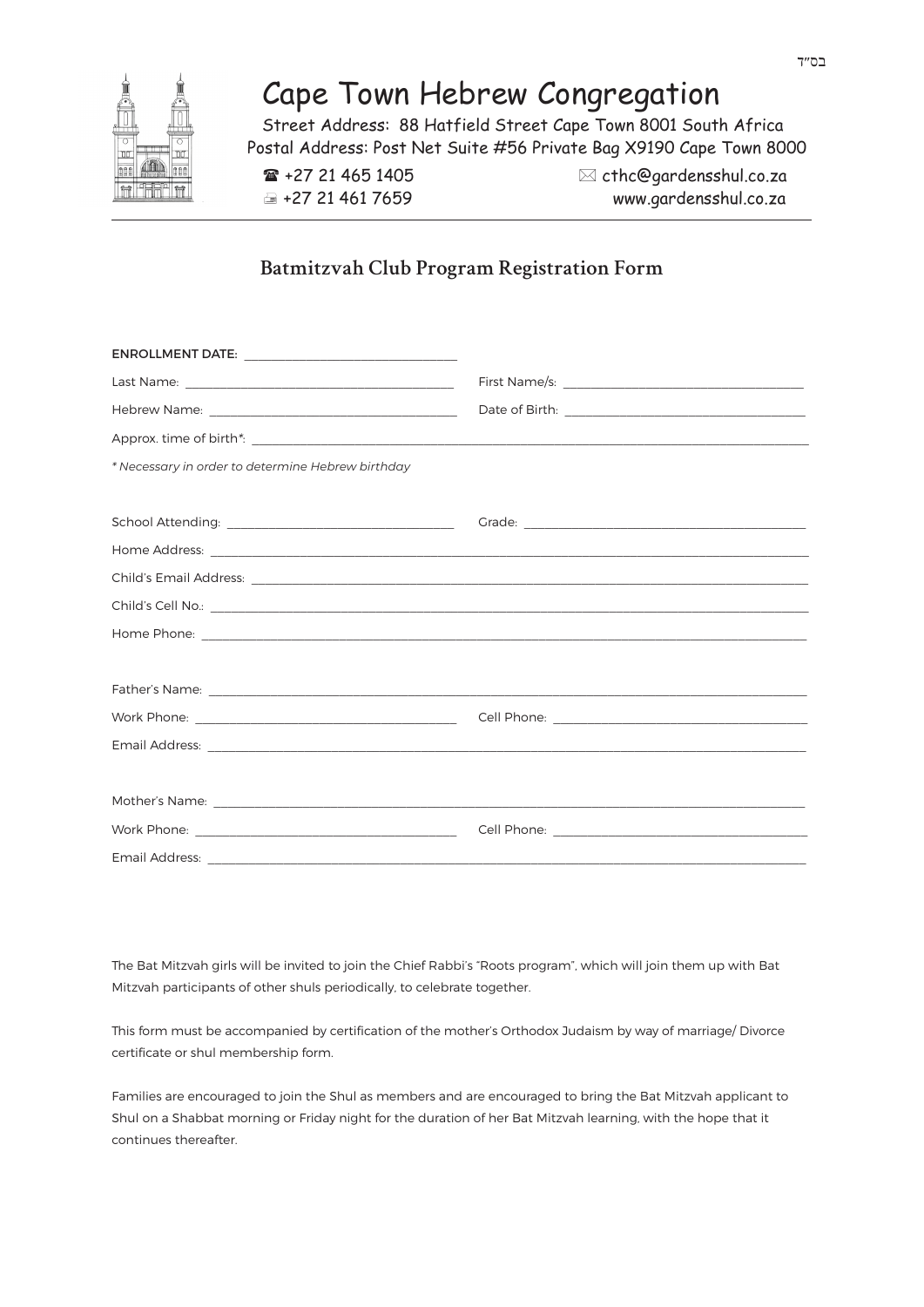## Cape Town Hebrew Congregation

Street Address: 88 Hatfield Street Cape Town 8001 South Africa Postal Address: Post Net Suite #56 Private Bag X9190 Cape Town 8000

 $\mathbf{F}$  +27 21 465 1405  $\boxtimes$  cthc@gardensshul.co.za +27 21 461 7659 www.gardensshul.co.za

## **Batmitzvah Club Program Registration Form**

| * Necessary in order to determine Hebrew birthday |  |
|---------------------------------------------------|--|
|                                                   |  |
|                                                   |  |
|                                                   |  |
|                                                   |  |
|                                                   |  |
|                                                   |  |
|                                                   |  |
|                                                   |  |
|                                                   |  |
|                                                   |  |
|                                                   |  |
|                                                   |  |
|                                                   |  |
|                                                   |  |

The Bat Mitzvah girls will be invited to join the Chief Rabbi's "Roots program", which will join them up with Bat Mitzvah participants of other shuls periodically, to celebrate together.

This form must be accompanied by certification of the mother's Orthodox Judaism by way of marriage/ Divorce certificate or shul membership form.

Families are encouraged to join the Shul as members and are encouraged to bring the Bat Mitzvah applicant to Shul on a Shabbat morning or Friday night for the duration of her Bat Mitzvah learning, with the hope that it continues thereafter.